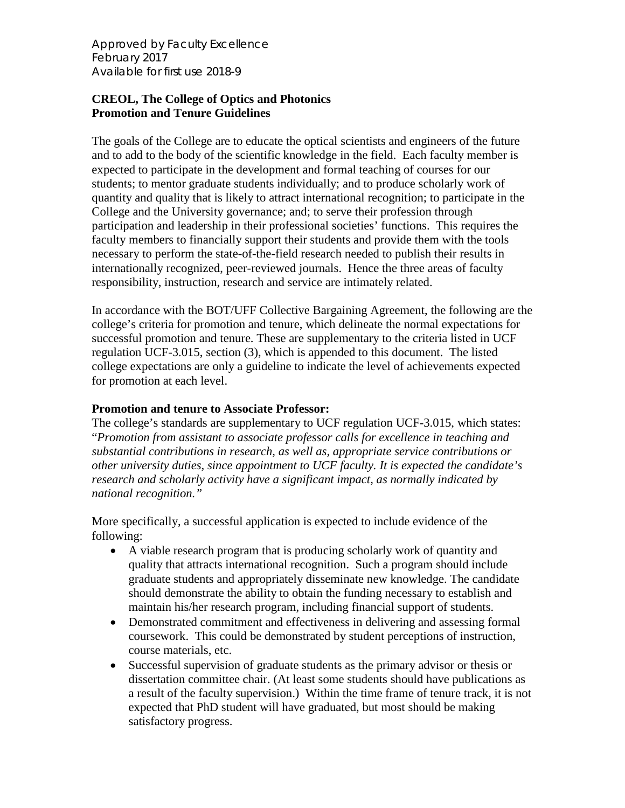*Approved by Faculty Excellence February 2017 Available for first use 2018-9*

## **CREOL, The College of Optics and Photonics Promotion and Tenure Guidelines**

The goals of the College are to educate the optical scientists and engineers of the future and to add to the body of the scientific knowledge in the field. Each faculty member is expected to participate in the development and formal teaching of courses for our students; to mentor graduate students individually; and to produce scholarly work of quantity and quality that is likely to attract international recognition; to participate in the College and the University governance; and; to serve their profession through participation and leadership in their professional societies' functions. This requires the faculty members to financially support their students and provide them with the tools necessary to perform the state-of-the-field research needed to publish their results in internationally recognized, peer-reviewed journals. Hence the three areas of faculty responsibility, instruction, research and service are intimately related.

In accordance with the BOT/UFF Collective Bargaining Agreement, the following are the college's criteria for promotion and tenure, which delineate the normal expectations for successful promotion and tenure. These are supplementary to the criteria listed in UCF regulation UCF-3.015, section (3), which is appended to this document. The listed college expectations are only a guideline to indicate the level of achievements expected for promotion at each level.

## **Promotion and tenure to Associate Professor:**

The college's standards are supplementary to UCF regulation UCF-3.015, which states: "*Promotion from assistant to associate professor calls for excellence in teaching and substantial contributions in research, as well as, appropriate service contributions or other university duties, since appointment to UCF faculty. It is expected the candidate's research and scholarly activity have a significant impact, as normally indicated by national recognition."*

More specifically, a successful application is expected to include evidence of the following:

- A viable research program that is producing scholarly work of quantity and quality that attracts international recognition. Such a program should include graduate students and appropriately disseminate new knowledge. The candidate should demonstrate the ability to obtain the funding necessary to establish and maintain his/her research program, including financial support of students.
- Demonstrated commitment and effectiveness in delivering and assessing formal coursework. This could be demonstrated by student perceptions of instruction, course materials, etc.
- Successful supervision of graduate students as the primary advisor or thesis or dissertation committee chair. (At least some students should have publications as a result of the faculty supervision.) Within the time frame of tenure track, it is not expected that PhD student will have graduated, but most should be making satisfactory progress.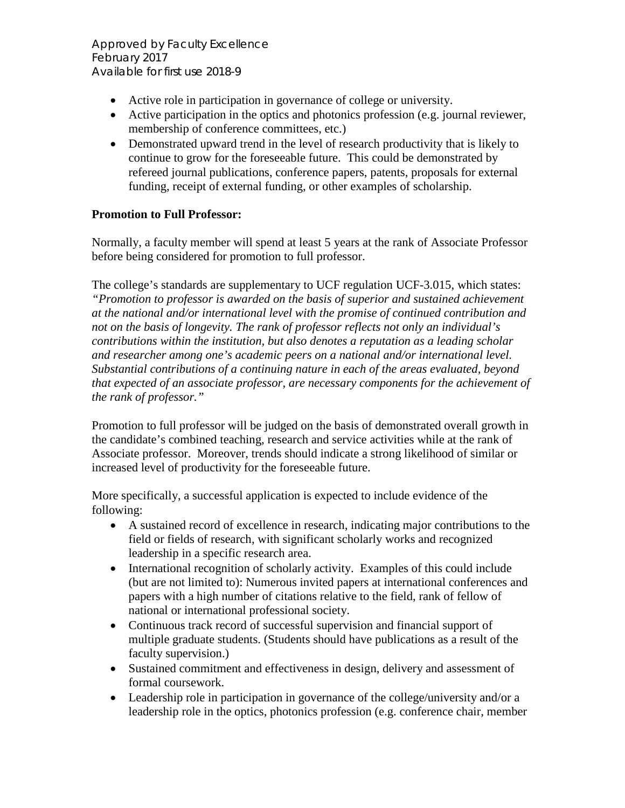- Active role in participation in governance of college or university.
- Active participation in the optics and photonics profession (e.g. journal reviewer, membership of conference committees, etc.)
- Demonstrated upward trend in the level of research productivity that is likely to continue to grow for the foreseeable future. This could be demonstrated by refereed journal publications, conference papers, patents, proposals for external funding, receipt of external funding, or other examples of scholarship.

## **Promotion to Full Professor:**

Normally, a faculty member will spend at least 5 years at the rank of Associate Professor before being considered for promotion to full professor.

The college's standards are supplementary to UCF regulation UCF-3.015, which states: *"Promotion to professor is awarded on the basis of superior and sustained achievement at the national and/or international level with the promise of continued contribution and not on the basis of longevity. The rank of professor reflects not only an individual's contributions within the institution, but also denotes a reputation as a leading scholar and researcher among one's academic peers on a national and/or international level. Substantial contributions of a continuing nature in each of the areas evaluated, beyond that expected of an associate professor, are necessary components for the achievement of the rank of professor."*

Promotion to full professor will be judged on the basis of demonstrated overall growth in the candidate's combined teaching, research and service activities while at the rank of Associate professor. Moreover, trends should indicate a strong likelihood of similar or increased level of productivity for the foreseeable future.

More specifically, a successful application is expected to include evidence of the following:

- A sustained record of excellence in research, indicating major contributions to the field or fields of research, with significant scholarly works and recognized leadership in a specific research area.
- International recognition of scholarly activity. Examples of this could include (but are not limited to): Numerous invited papers at international conferences and papers with a high number of citations relative to the field, rank of fellow of national or international professional society.
- Continuous track record of successful supervision and financial support of multiple graduate students. (Students should have publications as a result of the faculty supervision.)
- Sustained commitment and effectiveness in design, delivery and assessment of formal coursework.
- Leadership role in participation in governance of the college/university and/or a leadership role in the optics, photonics profession (e.g. conference chair, member